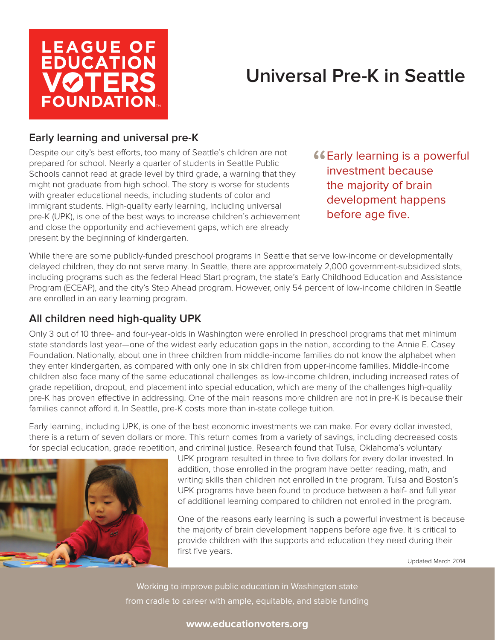

# **Universal Pre-K in Seattle**

# **Early learning and universal pre-K**

Despite our city's best efforts, too many of Seattle's children are not prepared for school. Nearly a quarter of students in Seattle Public Schools cannot read at grade level by third grade, a warning that they might not graduate from high school. The story is worse for students with greater educational needs, including students of color and immigrant students. High-quality early learning, including universal pre-K (UPK), is one of the best ways to increase children's achievement and close the opportunity and achievement gaps, which are already present by the beginning of kindergarten.

**"CEARLY LEART LANGE IS A POWERFULL**<br>
Investment because investment because the majority of brain development happens before age five.

While there are some publicly-funded preschool programs in Seattle that serve low-income or developmentally delayed children, they do not serve many. In Seattle, there are approximately 2,000 government-subsidized slots, including programs such as the federal Head Start program, the state's Early Childhood Education and Assistance Program (ECEAP), and the city's Step Ahead program. However, only 54 percent of low-income children in Seattle are enrolled in an early learning program.

## **All children need high-quality UPK**

Only 3 out of 10 three- and four-year-olds in Washington were enrolled in preschool programs that met minimum state standards last year—one of the widest early education gaps in the nation, according to the Annie E. Casey Foundation. Nationally, about one in three children from middle-income families do not know the alphabet when they enter kindergarten, as compared with only one in six children from upper-income families. Middle-income children also face many of the same educational challenges as low-income children, including increased rates of grade repetition, dropout, and placement into special education, which are many of the challenges high-quality pre-K has proven effective in addressing. One of the main reasons more children are not in pre-K is because their families cannot afford it. In Seattle, pre-K costs more than in-state college tuition.

Early learning, including UPK, is one of the best economic investments we can make. For every dollar invested, there is a return of seven dollars or more. This return comes from a variety of savings, including decreased costs for special education, grade repetition, and criminal justice. Research found that Tulsa, Oklahoma's voluntary



UPK program resulted in three to five dollars for every dollar invested. In addition, those enrolled in the program have better reading, math, and writing skills than children not enrolled in the program. Tulsa and Boston's UPK programs have been found to produce between a half- and full year of additional learning compared to children not enrolled in the program.

One of the reasons early learning is such a powerful investment is because the majority of brain development happens before age five. It is critical to provide children with the supports and education they need during their first five years.

Updated March 2014

Working to improve public education in Washington state from cradle to career with ample, equitable, and stable funding

#### **www.educationvoters.org**